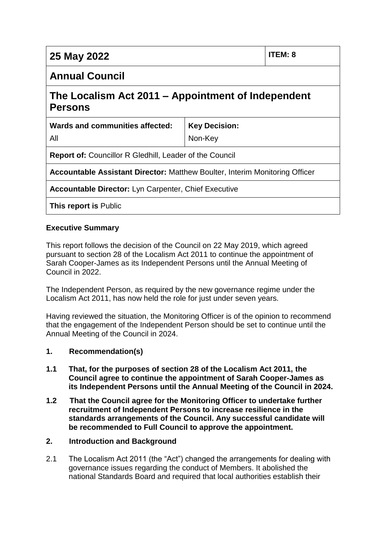| 25 May 2022                                                                        |                      | ITEM: 8 |
|------------------------------------------------------------------------------------|----------------------|---------|
| <b>Annual Council</b>                                                              |                      |         |
| The Localism Act 2011 – Appointment of Independent<br><b>Persons</b>               |                      |         |
| Wards and communities affected:                                                    | <b>Key Decision:</b> |         |
| All                                                                                | Non-Key              |         |
| <b>Report of:</b> Councillor R Gledhill, Leader of the Council                     |                      |         |
| <b>Accountable Assistant Director: Matthew Boulter, Interim Monitoring Officer</b> |                      |         |
| <b>Accountable Director:</b> Lyn Carpenter, Chief Executive                        |                      |         |
| <b>This report is Public</b>                                                       |                      |         |

### **Executive Summary**

This report follows the decision of the Council on 22 May 2019, which agreed pursuant to section 28 of the Localism Act 2011 to continue the appointment of Sarah Cooper-James as its Independent Persons until the Annual Meeting of Council in 2022.

The Independent Person, as required by the new governance regime under the Localism Act 2011, has now held the role for just under seven years.

Having reviewed the situation, the Monitoring Officer is of the opinion to recommend that the engagement of the Independent Person should be set to continue until the Annual Meeting of the Council in 2024.

### **1. Recommendation(s)**

- **1.1 That, for the purposes of section 28 of the Localism Act 2011, the Council agree to continue the appointment of Sarah Cooper-James as its Independent Persons until the Annual Meeting of the Council in 2024.**
- **1.2 That the Council agree for the Monitoring Officer to undertake further recruitment of Independent Persons to increase resilience in the standards arrangements of the Council. Any successful candidate will be recommended to Full Council to approve the appointment.**

#### **2. Introduction and Background**

2.1 The Localism Act 2011 (the "Act") changed the arrangements for dealing with governance issues regarding the conduct of Members. It abolished the national Standards Board and required that local authorities establish their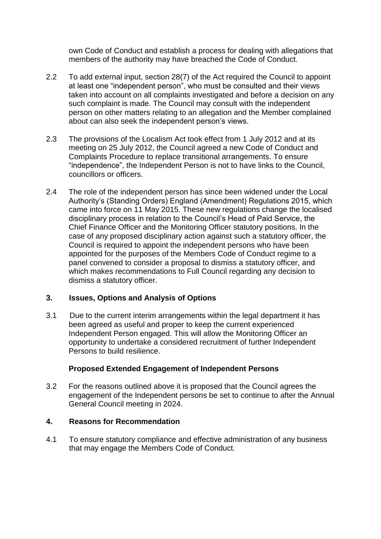own Code of Conduct and establish a process for dealing with allegations that members of the authority may have breached the Code of Conduct.

- 2.2 To add external input, section 28(7) of the Act required the Council to appoint at least one "independent person", who must be consulted and their views taken into account on all complaints investigated and before a decision on any such complaint is made. The Council may consult with the independent person on other matters relating to an allegation and the Member complained about can also seek the independent person's views.
- 2.3 The provisions of the Localism Act took effect from 1 July 2012 and at its meeting on 25 July 2012, the Council agreed a new Code of Conduct and Complaints Procedure to replace transitional arrangements. To ensure "independence", the Independent Person is not to have links to the Council, councillors or officers.
- 2.4 The role of the independent person has since been widened under the Local Authority's (Standing Orders) England (Amendment) Regulations 2015, which came into force on 11 May 2015. These new regulations change the localised disciplinary process in relation to the Council's Head of Paid Service, the Chief Finance Officer and the Monitoring Officer statutory positions. In the case of any proposed disciplinary action against such a statutory officer, the Council is required to appoint the independent persons who have been appointed for the purposes of the Members Code of Conduct regime to a panel convened to consider a proposal to dismiss a statutory officer, and which makes recommendations to Full Council regarding any decision to dismiss a statutory officer.

### **3. Issues, Options and Analysis of Options**

3.1 Due to the current interim arrangements within the legal department it has been agreed as useful and proper to keep the current experienced Independent Person engaged. This will allow the Monitoring Officer an opportunity to undertake a considered recruitment of further Independent Persons to build resilience.

### **Proposed Extended Engagement of Independent Persons**

3.2 For the reasons outlined above it is proposed that the Council agrees the engagement of the Independent persons be set to continue to after the Annual General Council meeting in 2024.

### **4. Reasons for Recommendation**

4.1 To ensure statutory compliance and effective administration of any business that may engage the Members Code of Conduct.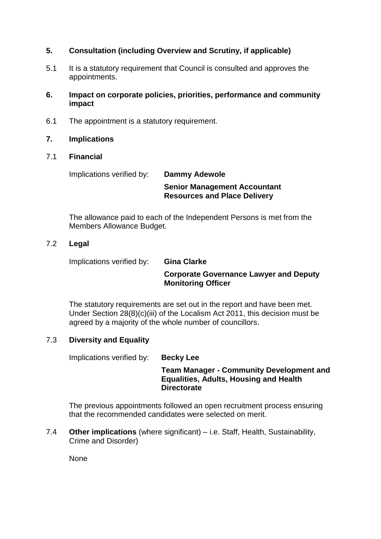### **5. Consultation (including Overview and Scrutiny, if applicable)**

- 5.1 It is a statutory requirement that Council is consulted and approves the appointments.
- **6. Impact on corporate policies, priorities, performance and community impact**
- 6.1 The appointment is a statutory requirement.
- **7. Implications**
- 7.1 **Financial**

Implications verified by: **Dammy Adewole**

**Senior Management Accountant Resources and Place Delivery** 

The allowance paid to each of the Independent Persons is met from the Members Allowance Budget.

### 7.2 **Legal**

Implications verified by: **Gina Clarke**

### **Corporate Governance Lawyer and Deputy Monitoring Officer**

The statutory requirements are set out in the report and have been met. Under Section 28(8)(c)(iii) of the Localism Act 2011, this decision must be agreed by a majority of the whole number of councillors.

### 7.3 **Diversity and Equality**

Implications verified by: **Becky Lee** 

### **Team Manager - Community Development and Equalities, Adults, Housing and Health Directorate**

The previous appointments followed an open recruitment process ensuring that the recommended candidates were selected on merit.

7.4 **Other implications** (where significant) – i.e. Staff, Health, Sustainability, Crime and Disorder)

None